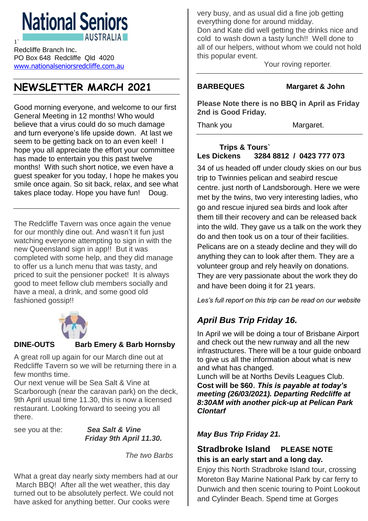# **National Seniors**

Redcliffe Branch Inc. PO Box 648 Redcliffe Qld 4020 [www.nationalseniorsredcliffe.com.au](http://www.nationalseniorsredcliffe.com.au/)

1`

# **NEWSLETTER MARCH 2021**

Good morning everyone, and welcome to our first General Meeting in 12 months! Who would believe that a virus could do so much damage and turn everyone's life upside down. At last we seem to be getting back on to an even keel! I hope you all appreciate the effort your committee has made to entertain you this past twelve months! With such short notice, we even have a guest speaker for you today, I hope he makes you smile once again. So sit back, relax, and see what takes place today. Hope you have fun! Doug.

The Redcliffe Tavern was once again the venue for our monthly dine out. And wasn't it fun just watching everyone attempting to sign in with the new Queensland sign in app!! But it was completed with some help, and they did manage to offer us a lunch menu that was tasty, and priced to suit the pensioner pocket! It is always good to meet fellow club members socially and have a meal, a drink, and some good old fashioned gossip!!



#### **DINE-OUTS Barb Emery & Barb Hornsby**

A great roll up again for our March dine out at Redcliffe Tavern so we will be returning there in a few months time.

Our next venue will be Sea Salt & Vine at Scarborough (near the caravan park) on the deck, 9th April usual time 11.30, this is now a licensed restaurant. Looking forward to seeing you all there.

see you at the: *Sea Salt & Vine Friday 9th April 11.30.*

*The two Barbs*

What a great day nearly sixty members had at our March BBQ! After all the wet weather, this day turned out to be absolutely perfect. We could not have asked for anything better. Our cooks were

very busy, and as usual did a fine job getting everything done for around midday.

Don and Kate did well getting the drinks nice and cold to wash down a tasty lunch!! Well done to all of our helpers, without whom we could not hold this popular event.

Your roving reporter.

#### **BARBEQUES Margaret & John**

**Please Note there is no BBQ in April as Friday 2nd is Good Friday.**

Thank you Margaret.

### **Trips & Tours` Les Dickens 3284 8812 / 0423 777 073**

34 of us headed off under cloudy skies on our bus trip to Twinnies pelican and seabird rescue centre. just north of Landsborough. Here we were met by the twins, two very interesting ladies, who go and rescue injured sea birds and look after them till their recovery and can be released back into the wild. They gave us a talk on the work they do and then took us on a tour of their facilities. Pelicans are on a steady decline and they will do anything they can to look after them. They are a volunteer group and rely heavily on donations. They are very passionate about the work they do and have been doing it for 21 years.

*Les's full report on this trip can be read on our website*

## *April Bus Trip Friday 16.*

In April we will be doing a tour of Brisbane Airport and check out the new runway and all the new infrastructures. There will be a tour guide onboard to give us all the information about what is new and what has changed.

Lunch will be at Norths Devils Leagues Club. **Cost will be \$60**. *This is payable at today's meeting (26/03/2021). Departing Redcliffe at 8:30AM with another pick-up at Pelican Park Clontarf*

#### *May Bus Trip Friday 21.*

## **Stradbroke Island PLEASE NOTE this is an early start and a long day.**

Enjoy this North Stradbroke Island tour, crossing Moreton Bay Marine National Park by car ferry to Dunwich and then scenic touring to Point Lookout and Cylinder Beach. Spend time at Gorges